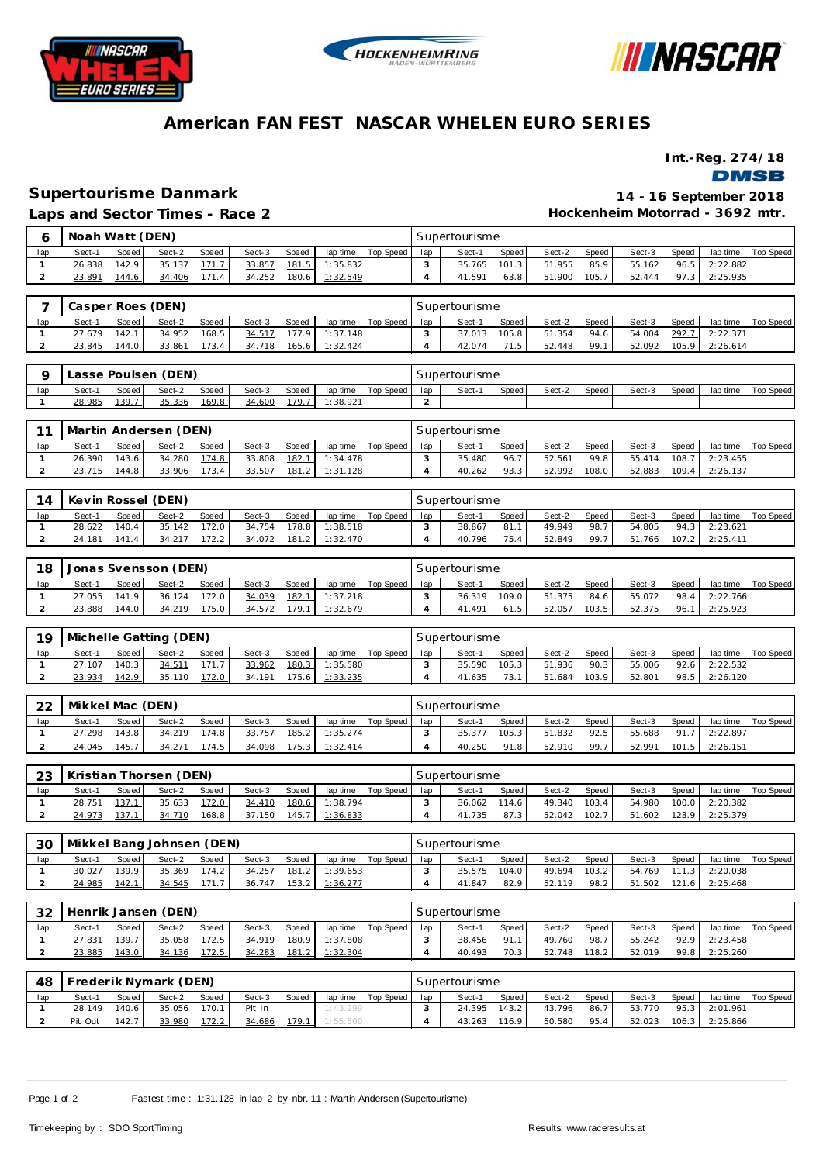





### **American FAN FEST NASCAR WHELEN EURO SERIES**

**Int.-Reg. 274/18**

**DMSB** 

## **Supertourisme Danmark 14 - 16 September 2018**

**Laps and Sector Times - Race 2**

**Hockenheim Motorrad - 3692 mtr.**

| Ò   | Noah Watt (DEN) |       |        |       |        |              |          |           |     | Supertourisme |       |        |       |        |       |          |           |
|-----|-----------------|-------|--------|-------|--------|--------------|----------|-----------|-----|---------------|-------|--------|-------|--------|-------|----------|-----------|
| lap | Sect-1          | Speed | Sect-2 | Speed | Sect-3 | <b>Speed</b> | lap time | Top Speed | lap | Sect-1        | Speed | Sect-2 | Speed | Sect-3 | Speed | lap time | Top Speed |
|     | 26.838          | 142.9 | 35.137 | 171.7 | 33.857 | 181.5        | 1:35.832 |           |     | 35.765        | 101.3 | 51.955 | 85.9  | 55.162 | 96.5  | 2:22.882 |           |
|     | 23.891          | 144.6 | 34.406 | 171.4 | 34.252 | 180.6        | 1:32.549 |           |     | 41.591        | 63.8  | 51.900 | 105.7 | 52.444 | 97.3  | 2:25.935 |           |
|     |                 |       |        |       |        |              |          |           |     |               |       |        |       |        |       |          |           |

|     |        |       | Casper Roes (DEN) |              |        |       |          |             |     | Supertourisme |       |        |       |        |       |          |           |
|-----|--------|-------|-------------------|--------------|--------|-------|----------|-------------|-----|---------------|-------|--------|-------|--------|-------|----------|-----------|
| lap | Sect-1 | Speed | Sect-2            | <b>Speed</b> | Sect-3 | Speed | lap time | Top Speed I | lap | Sect-1        | Speed | Sect-2 | Speed | Sect-3 | Speed | lap time | Top Speed |
|     | 27.679 | 142.1 | 34.952            | 168.5        | 34.517 | 1779  | 1:37.148 |             |     | 37.013        | 105.8 | 51.354 | 94.6  | 54.004 | 292.7 | 2:22.371 |           |
|     | 23.845 | 144.0 | 33.861            | 173.4        | 34.718 | 165.6 | 1:32.424 |             |     | 42.074        | 71.5  | 52.448 | -99.1 | 52.092 | 105.9 | 2:26.614 |           |

|     |        |         | Lasse Poulsen (DEN) |       |        |       |          |           |     | Supertourisme |       |        |       |        |       |          |           |
|-----|--------|---------|---------------------|-------|--------|-------|----------|-----------|-----|---------------|-------|--------|-------|--------|-------|----------|-----------|
| lap | Sect-1 | Speed I | Sect-2              | Speed | Sect-3 | Speed | lap time | Top Speed | lap | Sect-         | Speed | Sect-2 | Speed | Sect-3 | Speed | lap time | Top Speed |
|     | 28.985 | 139.    | 35.336              | 169.8 | 34.600 | 79.   | : 38.921 |           |     |               |       |        |       |        |       |          |           |

|     |        |         | Martin Andersen (DEN) |       |        |       |          |             |     | Supertourisme |       |        |       |        |       |          |           |
|-----|--------|---------|-----------------------|-------|--------|-------|----------|-------------|-----|---------------|-------|--------|-------|--------|-------|----------|-----------|
| lap | Sect-1 | Speed I | Sect-2                | Speed | Sect-3 | Speed | lap time | Top Speed I | lap | Sect-1        | Speed | Sect-2 | Speed | Sect-3 | Speed | lap time | Top Speed |
|     | 26.390 | 143.6   | 34.280                | 174.8 | 33.808 | 182.1 | 1:34.478 |             |     | 35.480        | 96.7  | 52.561 | 99.8  | 55.414 | 108.7 | 2:23.455 |           |
|     | 23.715 | 144.8   | 33.906                | 173.4 | 33.507 | 181.2 | 1:31.128 |             |     | 40.262        | 93.3  | 52.992 | 108.0 | 52.883 | 109.4 | 2:26.137 |           |

| 14  |        | Kevin Rossel (DEN)<br><b>Speed</b><br>Speed  <br>Sect-2<br>Sect-3<br>Speed<br>lap time<br>Sect-1<br>140.4<br>172.0<br>28.622<br>35.142<br>178.81<br>1:38.518<br>34.754 |        |                |        |              |          |           |     | Supertourisme |         |        |       |        |       |          |           |
|-----|--------|------------------------------------------------------------------------------------------------------------------------------------------------------------------------|--------|----------------|--------|--------------|----------|-----------|-----|---------------|---------|--------|-------|--------|-------|----------|-----------|
| lap |        |                                                                                                                                                                        |        |                |        |              |          | Top Speed | lap | Sect-         | Speed I | Sect-2 | Speed | Sect-3 | Speed | lap time | Top Speed |
|     |        |                                                                                                                                                                        |        |                |        |              |          |           |     | 38.867        | 81.     | 49.949 | 98.7  | 54.805 | 94.3  | 2:23.621 |           |
|     | 24.181 | 141.4                                                                                                                                                                  | 34.217 | <u> 172.2 </u> | 34.072 | <u>181.2</u> | 1:32.470 |           |     | 40.796        | 75.4    | 52.849 | 99.7  | 51.766 | 107.2 | 2:25.411 |           |

| 18  |        |              | Jonas Svensson (DEN) |              |        |       |          |           |     | Supertourisme |        |        |       |        |       |          |           |
|-----|--------|--------------|----------------------|--------------|--------|-------|----------|-----------|-----|---------------|--------|--------|-------|--------|-------|----------|-----------|
| lap | Sect-1 | <b>Speed</b> | Sect-2               | <b>Speed</b> | Sect-3 | Speed | lap time | Top Speed | lap | Sect-1        | Speed  | Sect-2 | Speed | Sect-3 | Speed | lap time | Top Speed |
|     | 27.055 | 141.9 I      | 36.124               | 172.0        | 34.039 | 182.1 | 1:37.218 |           |     | 36.319        | 109.01 | 51.375 | 84.6  | 55.072 | 98.4  | 2:22.766 |           |
|     | 23.888 | 144.0        | 34.219               | 175.0        | 34.572 | 179.1 | 1:32.679 |           |     | 41.491        | 61.5   | 52.057 | 103.5 | 52.375 | 96.1  | 2:25.923 |           |

| 19  |        |         | Michelle Gatting (DEN) |              |        |       |          |           |     | Supertourisme |       |        |       |        |       |          |           |
|-----|--------|---------|------------------------|--------------|--------|-------|----------|-----------|-----|---------------|-------|--------|-------|--------|-------|----------|-----------|
| lap | Sect-1 | Speed I | Sect-2                 | <b>Speed</b> | Sect-3 | Speed | lap time | Top Speed | lap | Sect-         | Speed | Sect-2 | Speed | Sect-3 | Speed | lap time | Top Speed |
|     | 27.107 | 140.3   | 34.511                 | 171.7        | 33.962 | 180.3 | 1:35.580 |           |     | 35.590        | 105.3 | 51.936 | 90.3  | 55.006 | 92.6  | 2:22.532 |           |
|     | 23.934 | 142.9   | 35.110                 | 172.0        | 34.191 | 75.6  | 1:33.235 |           |     | 41.635        | 73.1  | 51.684 | 103.9 | 52.801 | 98.5  | 2:26.120 |           |

| ററ  | Mikkel Mac (DEN) |         |        |           |        |       |          |           |     | Supertourisme |          |        |       |        |       |          |           |
|-----|------------------|---------|--------|-----------|--------|-------|----------|-----------|-----|---------------|----------|--------|-------|--------|-------|----------|-----------|
| lap | Sect-1           | Speed   | Sect-2 | Speed     | Sect-3 | Speed | lap time | Top Speed | lap | Sect-1        | Speed    | Sect-2 | Speed | Sect-3 | Speed | lap time | Top Speed |
|     | 27.298           | 143.8 I | 34.219 | 174.8     | 33.757 | 185.2 | 1:35.274 |           |     | 35.377        | 105.3    | 51.832 | 92.5  | 55.688 | 917   | 2:22.897 |           |
|     | 24.045           | 145.7   | 34.271 | $174.5 +$ | 34.098 | 175.3 | 1:32.414 |           |     | 40.250        | O1<br>-8 | 52.910 | 99.7  | 52.991 | 101.5 | 2:26.151 |           |

|     |        |       | 23   Kristian Thorsen (DEN) |       |        |       |                         |           |     | Supertourisme |       |        |       |        |       |                       |           |
|-----|--------|-------|-----------------------------|-------|--------|-------|-------------------------|-----------|-----|---------------|-------|--------|-------|--------|-------|-----------------------|-----------|
| lap | Sect-1 | Speed | Sect-2                      | Speed | Sect-3 | Speed | lap time                | Top Speed | lap | Sect-1        | Speed | Sect-2 | Speed | Sect-3 | Speed | lap time              | Top Speed |
|     | 28.751 | 137.1 | 35.633                      | 172.0 | 34.410 | 180.6 | 1:38.794                |           |     | 36.062        | 114.6 | 49.340 | 103.4 |        |       | 54.980 100.0 2:20.382 |           |
|     | 24.973 | 137.1 | 34.710                      | 168.8 |        |       | 37.150  145.7  1:36.833 |           |     | 41.735        | 87.3  | 52.042 | 102.7 | 51.602 |       | 123.9 2:25.379        |           |

| 30  | Mikkel Bang Johnsen (DEN) |       |        |       |        |         |          |           |     | Supertourisme |       |        |       |        |                        |          |           |
|-----|---------------------------|-------|--------|-------|--------|---------|----------|-----------|-----|---------------|-------|--------|-------|--------|------------------------|----------|-----------|
| lap | Sect-1                    | Speed | Sect-2 | Speed | Sect-3 | Speed   | lap time | Top Speed | lap | Sect-1        | Speed | Sect-2 | Speed | Sect-3 | Speed                  | lap time | Top Speed |
|     | 30.027                    | 139.9 | 35.369 | 174.2 | 34.257 | 181.2   | 1:39.653 |           |     | 35.575        | 104.0 | 49.694 | 103.2 | 54.769 | 111.3                  | 2:20.038 |           |
|     | 24.985                    | 142.1 | 34.545 | 171.7 | 36.747 | 153.2 l | 1:36.277 |           |     | 41.847        | 82.9  | 52.119 | 98.2  | 51.502 | $121.6$ $\blacksquare$ | 2:25.468 |           |

| 32  |        |       | Henrik Jansen (DEN) |       |        |       |                |           |     | Supertourisme |                   |        |       |        |       |          |           |
|-----|--------|-------|---------------------|-------|--------|-------|----------------|-----------|-----|---------------|-------------------|--------|-------|--------|-------|----------|-----------|
| lap | Sect-1 | Speed | Sect-2              | Speed | Sect-3 | Speed | lap time       | Top Speed | lap | Sect-1        | Speed             | Sect-2 | Speed | Sect-3 | Speed | lap time | Top Speed |
|     | 27.831 | 139.7 | 35.058              | 172.5 | 34.919 |       | 180.9 1:37.808 |           |     | 38.456        | 91.1              | 49.760 | 98.7  | 55.242 | 92.9  | 2:23.458 |           |
|     | 23.885 | 43.0  | 34.136              | 172.5 | 34.283 | 181.2 | 1:32.304       |           |     | 40.493        | 70.3 <sup>1</sup> | 52.748 | 118.2 | 52.019 | 99.8  | 2:25.260 |           |

| 48  |         |       | Frederik Nymark (DEN) |                |        |       |          |           |     | Supertourisme |         |        |       |        |       |          |           |
|-----|---------|-------|-----------------------|----------------|--------|-------|----------|-----------|-----|---------------|---------|--------|-------|--------|-------|----------|-----------|
| lap | Sect-1  | Speed | Sect-2                | Speed          | Sect-3 | Speed | lap time | Top Speed | lap | Sect-1        | Speed I | Sect-2 | Speed | Sect-3 | Speed | lap time | Top Speed |
|     | 28.149  | 140.6 | 35.056                | 170.1          | Pit In |       | 1:43.299 |           |     | 24.395        | 143.2   | 43.796 | 86.7  | 53.770 | 95.3  | 2:01.961 |           |
|     | Pit Out | 142.7 | 33.980                | <u> 172.2 </u> | 34.686 | 179.1 | 1:55.500 |           |     | 43.263        | 116.9   | 50.580 | 95.4  | 52.023 | 106.3 | 2:25.866 |           |